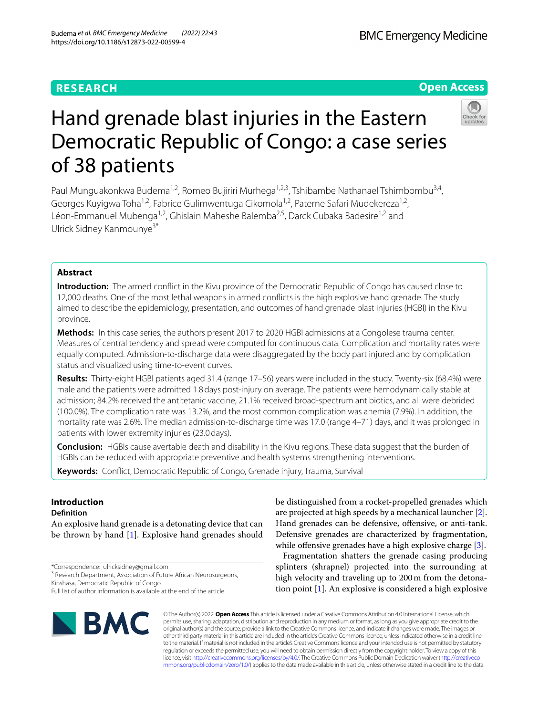# **RESEARCH**

## **Open Access**



# Hand grenade blast injuries in the Eastern Democratic Republic of Congo: a case series of 38 patients

Paul Munguakonkwa Budema<sup>1,2</sup>, Romeo Bujiriri Murhega<sup>1,2,3</sup>, Tshibambe Nathanael Tshimbombu<sup>3,4</sup>, Georges Kuyigwa Toha<sup>1,2</sup>, Fabrice Gulimwentuga Cikomola<sup>1,2</sup>, Paterne Safari Mudekereza<sup>1,2</sup>, Léon-Emmanuel Mubenga<sup>1,2</sup>, Ghislain Maheshe Balemba<sup>2,5</sup>, Darck Cubaka Badesire<sup>1,2</sup> and Ulrick Sidney Kanmounye3\*

## **Abstract**

**Introduction:** The armed confict in the Kivu province of the Democratic Republic of Congo has caused close to 12,000 deaths. One of the most lethal weapons in armed conficts is the high explosive hand grenade. The study aimed to describe the epidemiology, presentation, and outcomes of hand grenade blast injuries (HGBI) in the Kivu province.

**Methods:** In this case series, the authors present 2017 to 2020 HGBI admissions at a Congolese trauma center. Measures of central tendency and spread were computed for continuous data. Complication and mortality rates were equally computed. Admission-to-discharge data were disaggregated by the body part injured and by complication status and visualized using time-to-event curves.

**Results:** Thirty-eight HGBI patients aged 31.4 (range 17–56) years were included in the study. Twenty-six (68.4%) were male and the patients were admitted 1.8days post-injury on average. The patients were hemodynamically stable at admission; 84.2% received the antitetanic vaccine, 21.1% received broad-spectrum antibiotics, and all were debrided (100.0%). The complication rate was 13.2%, and the most common complication was anemia (7.9%). In addition, the mortality rate was 2.6%. The median admission-to-discharge time was 17.0 (range 4–71) days, and it was prolonged in patients with lower extremity injuries (23.0days).

**Conclusion:** HGBIs cause avertable death and disability in the Kivu regions. These data suggest that the burden of HGBIs can be reduced with appropriate preventive and health systems strengthening interventions.

**Keywords:** Confict, Democratic Republic of Congo, Grenade injury, Trauma, Survival

# **Introduction**

## **Defnition**

An explosive hand grenade is a detonating device that can be thrown by hand [\[1](#page-6-0)]. Explosive hand grenades should

\*Correspondence: ulricksidney@gmail.com

<sup>3</sup> Research Department, Association of Future African Neurosurgeons, Kinshasa, Democratic Republic of Congo

Full list of author information is available at the end of the article



be distinguished from a rocket-propelled grenades which are projected at high speeds by a mechanical launcher [\[2](#page-6-1)]. Hand grenades can be defensive, offensive, or anti-tank. Defensive grenades are characterized by fragmentation, while offensive grenades have a high explosive charge [[3\]](#page-6-2).

Fragmentation shatters the grenade casing producing splinters (shrapnel) projected into the surrounding at high velocity and traveling up to 200m from the detonation point [[1\]](#page-6-0). An explosive is considered a high explosive

© The Author(s) 2022. **Open Access** This article is licensed under a Creative Commons Attribution 4.0 International License, which permits use, sharing, adaptation, distribution and reproduction in any medium or format, as long as you give appropriate credit to the original author(s) and the source, provide a link to the Creative Commons licence, and indicate if changes were made. The images or other third party material in this article are included in the article's Creative Commons licence, unless indicated otherwise in a credit line to the material. If material is not included in the article's Creative Commons licence and your intended use is not permitted by statutory regulation or exceeds the permitted use, you will need to obtain permission directly from the copyright holder. To view a copy of this licence, visit [http://creativecommons.org/licenses/by/4.0/.](http://creativecommons.org/licenses/by/4.0/) The Creative Commons Public Domain Dedication waiver ([http://creativeco](http://creativecommons.org/publicdomain/zero/1.0/) [mmons.org/publicdomain/zero/1.0/](http://creativecommons.org/publicdomain/zero/1.0/)) applies to the data made available in this article, unless otherwise stated in a credit line to the data.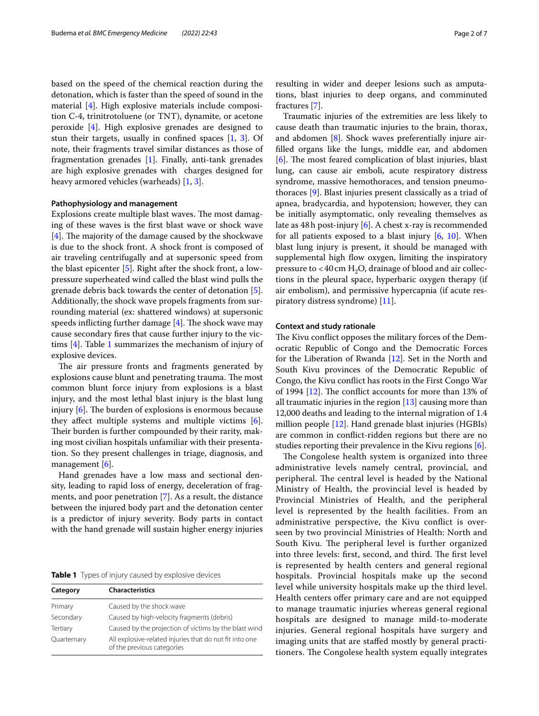based on the speed of the chemical reaction during the detonation, which is faster than the speed of sound in the material [\[4](#page-6-3)]. High explosive materials include composition C-4, trinitrotoluene (or TNT), dynamite, or acetone peroxide [\[4](#page-6-3)]. High explosive grenades are designed to stun their targets, usually in confned spaces [\[1](#page-6-0), [3](#page-6-2)]. Of note, their fragments travel similar distances as those of fragmentation grenades [[1\]](#page-6-0). Finally, anti-tank grenades are high explosive grenades with charges designed for heavy armored vehicles (warheads) [\[1](#page-6-0), [3\]](#page-6-2).

#### **Pathophysiology and management**

Explosions create multiple blast waves. The most damaging of these waves is the frst blast wave or shock wave  $[4]$  $[4]$ . The majority of the damage caused by the shockwave is due to the shock front. A shock front is composed of air traveling centrifugally and at supersonic speed from the blast epicenter  $[5]$  $[5]$ . Right after the shock front, a lowpressure superheated wind called the blast wind pulls the grenade debris back towards the center of detonation [\[5](#page-6-4)]. Additionally, the shock wave propels fragments from surrounding material (ex: shattered windows) at supersonic speeds inflicting further damage  $[4]$  $[4]$ . The shock wave may cause secondary fres that cause further injury to the victims [[4\]](#page-6-3). Table [1](#page-1-0) summarizes the mechanism of injury of explosive devices.

The air pressure fronts and fragments generated by explosions cause blunt and penetrating trauma. The most common blunt force injury from explosions is a blast injury, and the most lethal blast injury is the blast lung injury  $[6]$  $[6]$ . The burden of explosions is enormous because they afect multiple systems and multiple victims [\[6](#page-6-5)]. Their burden is further compounded by their rarity, making most civilian hospitals unfamiliar with their presentation. So they present challenges in triage, diagnosis, and management [\[6](#page-6-5)].

Hand grenades have a low mass and sectional density, leading to rapid loss of energy, deceleration of fragments, and poor penetration [[7\]](#page-6-6). As a result, the distance between the injured body part and the detonation center is a predictor of injury severity. Body parts in contact with the hand grenade will sustain higher energy injuries

<span id="page-1-0"></span>**Table 1** Types of injury caused by explosive devices

| Category    | <b>Characteristics</b>                                                                |  |  |
|-------------|---------------------------------------------------------------------------------------|--|--|
| Primary     | Caused by the shock wave                                                              |  |  |
| Secondary   | Caused by high-velocity fragments (debris)                                            |  |  |
| Tertiary    | Caused by the projection of victims by the blast wind                                 |  |  |
| Quarternary | All explosive-related injuries that do not fit into one<br>of the previous categories |  |  |

resulting in wider and deeper lesions such as amputations, blast injuries to deep organs, and comminuted fractures [\[7](#page-6-6)].

Traumatic injuries of the extremities are less likely to cause death than traumatic injuries to the brain, thorax, and abdomen [[8\]](#page-6-7). Shock waves preferentially injure airflled organs like the lungs, middle ear, and abdomen  $[6]$  $[6]$ . The most feared complication of blast injuries, blast lung, can cause air emboli, acute respiratory distress syndrome, massive hemothoraces, and tension pneumothoraces [\[9](#page-6-8)]. Blast injuries present classically as a triad of apnea, bradycardia, and hypotension; however, they can be initially asymptomatic, only revealing themselves as late as 48h post-injury [[6\]](#page-6-5). A chest x-ray is recommended for all patients exposed to a blast injury [\[6,](#page-6-5) [10\]](#page-6-9). When blast lung injury is present, it should be managed with supplemental high flow oxygen, limiting the inspiratory pressure to  $<$  40 cm H<sub>2</sub>O, drainage of blood and air collections in the pleural space, hyperbaric oxygen therapy (if air embolism), and permissive hypercapnia (if acute respiratory distress syndrome) [[11](#page-6-10)].

#### **Context and study rationale**

The Kivu conflict opposes the military forces of the Democratic Republic of Congo and the Democratic Forces for the Liberation of Rwanda [\[12](#page-6-11)]. Set in the North and South Kivu provinces of the Democratic Republic of Congo, the Kivu confict has roots in the First Congo War of 1994  $[12]$  $[12]$ . The conflict accounts for more than 13% of all traumatic injuries in the region [\[13\]](#page-6-12) causing more than 12,000 deaths and leading to the internal migration of 1.4 million people [\[12\]](#page-6-11). Hand grenade blast injuries (HGBIs) are common in confict-ridden regions but there are no studies reporting their prevalence in the Kivu regions [\[6](#page-6-5)].

The Congolese health system is organized into three administrative levels namely central, provincial, and peripheral. The central level is headed by the National Ministry of Health, the provincial level is headed by Provincial Ministries of Health, and the peripheral level is represented by the health facilities. From an administrative perspective, the Kivu confict is overseen by two provincial Ministries of Health: North and South Kivu. The peripheral level is further organized into three levels: first, second, and third. The first level is represented by health centers and general regional hospitals. Provincial hospitals make up the second level while university hospitals make up the third level. Health centers offer primary care and are not equipped to manage traumatic injuries whereas general regional hospitals are designed to manage mild-to-moderate injuries. General regional hospitals have surgery and imaging units that are stafed mostly by general practitioners. The Congolese health system equally integrates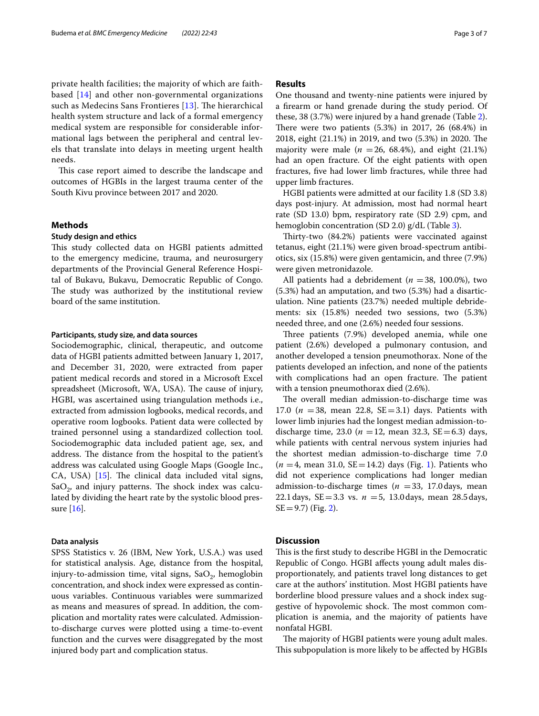private health facilities; the majority of which are faithbased [[14](#page-6-13)] and other non-governmental organizations such as Medecins Sans Frontieres  $[13]$  $[13]$ . The hierarchical health system structure and lack of a formal emergency medical system are responsible for considerable informational lags between the peripheral and central levels that translate into delays in meeting urgent health needs.

This case report aimed to describe the landscape and outcomes of HGBIs in the largest trauma center of the South Kivu province between 2017 and 2020.

#### **Methods**

#### **Study design and ethics**

This study collected data on HGBI patients admitted to the emergency medicine, trauma, and neurosurgery departments of the Provincial General Reference Hospital of Bukavu, Bukavu, Democratic Republic of Congo. The study was authorized by the institutional review board of the same institution.

#### **Participants, study size, and data sources**

Sociodemographic, clinical, therapeutic, and outcome data of HGBI patients admitted between January 1, 2017, and December 31, 2020, were extracted from paper patient medical records and stored in a Microsoft Excel spreadsheet (Microsoft, WA, USA). The cause of injury, HGBI, was ascertained using triangulation methods i.e., extracted from admission logbooks, medical records, and operative room logbooks. Patient data were collected by trained personnel using a standardized collection tool. Sociodemographic data included patient age, sex, and address. The distance from the hospital to the patient's address was calculated using Google Maps (Google Inc., CA, USA)  $[15]$  $[15]$ . The clinical data included vital signs, SaO<sub>2</sub>, and injury patterns. The shock index was calculated by dividing the heart rate by the systolic blood pressure [\[16](#page-6-15)].

#### **Data analysis**

SPSS Statistics v. 26 (IBM, New York, U.S.A.) was used for statistical analysis. Age, distance from the hospital, injury-to-admission time, vital signs,  $SaO<sub>2</sub>$ , hemoglobin concentration, and shock index were expressed as continuous variables. Continuous variables were summarized as means and measures of spread. In addition, the complication and mortality rates were calculated. Admissionto-discharge curves were plotted using a time-to-event function and the curves were disaggregated by the most injured body part and complication status.

## **Results**

One thousand and twenty-nine patients were injured by a frearm or hand grenade during the study period. Of these, 38 (3.7%) were injured by a hand grenade (Table [2](#page-3-0)). There were two patients  $(5.3%)$  in 2017, 26  $(68.4%)$  in 2018, eight (21.1%) in 2019, and two (5.3%) in 2020. The majority were male  $(n = 26, 68.4\%)$ , and eight  $(21.1\%)$ had an open fracture. Of the eight patients with open fractures, fve had lower limb fractures, while three had upper limb fractures.

HGBI patients were admitted at our facility 1.8 (SD 3.8) days post-injury. At admission, most had normal heart rate (SD 13.0) bpm, respiratory rate (SD 2.9) cpm, and hemoglobin concentration (SD 2.0) g/dL (Table [3\)](#page-4-0).

Thirty-two (84.2%) patients were vaccinated against tetanus, eight (21.1%) were given broad-spectrum antibiotics, six (15.8%) were given gentamicin, and three (7.9%) were given metronidazole.

All patients had a debridement ( $n = 38$ , 100.0%), two (5.3%) had an amputation, and two (5.3%) had a disarticulation. Nine patients (23.7%) needed multiple debridements: six (15.8%) needed two sessions, two (5.3%) needed three, and one (2.6%) needed four sessions.

Three patients (7.9%) developed anemia, while one patient (2.6%) developed a pulmonary contusion, and another developed a tension pneumothorax. None of the patients developed an infection, and none of the patients with complications had an open fracture. The patient with a tension pneumothorax died (2.6%).

The overall median admission-to-discharge time was 17.0 ( $n = 38$ , mean 22.8, SE = 3.1) days. Patients with lower limb injuries had the longest median admission-todischarge time, 23.0 ( $n = 12$ , mean 32.3, SE = 6.3) days, while patients with central nervous system injuries had the shortest median admission-to-discharge time 7.0  $(n = 4, \text{ mean } 31.0, \text{ SE} = 14.2) \text{ days (Fig. 1).}$  $(n = 4, \text{ mean } 31.0, \text{ SE} = 14.2) \text{ days (Fig. 1).}$  $(n = 4, \text{ mean } 31.0, \text{ SE} = 14.2) \text{ days (Fig. 1).}$  Patients who did not experience complications had longer median admission-to-discharge times ( $n = 33$ , 17.0 days, mean 22.1days, SE=3.3 vs. *n* =5, 13.0days, mean 28.5days,  $SE = 9.7$ ) (Fig. [2](#page-5-0)).

#### **Discussion**

This is the first study to describe HGBI in the Democratic Republic of Congo. HGBI afects young adult males disproportionately, and patients travel long distances to get care at the authors' institution. Most HGBI patients have borderline blood pressure values and a shock index suggestive of hypovolemic shock. The most common complication is anemia, and the majority of patients have nonfatal HGBI.

The majority of HGBI patients were young adult males. This subpopulation is more likely to be affected by HGBIs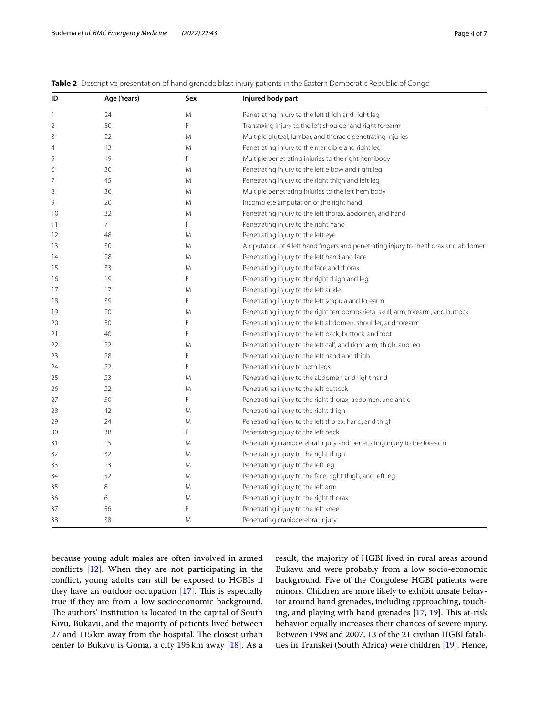#### <span id="page-3-0"></span>**Table 2** Descriptive presentation of hand grenade blast injury patients in the Eastern Democratic Republic of Congo

| ID             | Age (Years)    | Sex | Injured body part                                                                  |  |  |
|----------------|----------------|-----|------------------------------------------------------------------------------------|--|--|
| 1              | 24             | M   | Penetrating injury to the left thigh and right leg                                 |  |  |
| 2              | 50             | F   | Transfixing injury to the left shoulder and right forearm                          |  |  |
| 3              | 22             | M   | Multiple gluteal, lumbar, and thoracic penetrating injuries                        |  |  |
| $\overline{4}$ | 43             | M   | Penetrating injury to the mandible and right leg                                   |  |  |
| 5              | 49             | F   | Multiple penetrating injuries to the right hemibody                                |  |  |
| 6              | 30             | M   | Penetrating injury to the left elbow and right leg                                 |  |  |
| 7              | 45             | M   | Penetrating injury to the right thigh and left leg                                 |  |  |
| 8              | 36             | M   | Multiple penetrating injuries to the left hemibody                                 |  |  |
| 9              | 20             | M   | Incomplete amputation of the right hand                                            |  |  |
| 10             | 32             | M   | Penetrating injury to the left thorax, abdomen, and hand                           |  |  |
| 11             | $\overline{7}$ | F   | Penetrating injury to the right hand                                               |  |  |
| 12             | 48             | M   | Penetrating injury to the left eye                                                 |  |  |
| 13             | 30             | M   | Amputation of 4 left hand fingers and penetrating injury to the thorax and abdomen |  |  |
| 14             | 28             | M   | Penetrating injury to the left hand and face                                       |  |  |
| 15             | 33             | M   | Penetrating injury to the face and thorax                                          |  |  |
| 16             | 19             | F   | Penetrating injury to the right thigh and leg                                      |  |  |
| 17             | 17             | M   | Penetrating injury to the left ankle                                               |  |  |
| 18             | 39             | F   | Penetrating injury to the left scapula and forearm                                 |  |  |
| 19             | 20             | M   | Penetrating injury to the right temporoparietal skull, arm, forearm, and buttock   |  |  |
| 20             | 50             | F   | Penetrating injury to the left abdomen, shoulder, and forearm                      |  |  |
| 21             | 40             | F   | Penetrating injury to the left back, buttock, and foot                             |  |  |
| 22             | 22             | M   | Penetrating injury to the left calf, and right arm, thigh, and leg                 |  |  |
| 23             | 28             | F   | Penetrating injury to the left hand and thigh                                      |  |  |
| 24             | 22             | F   | Penetrating injury to both legs                                                    |  |  |
| 25             | 23             | M   | Penetrating injury to the abdomen and right hand                                   |  |  |
| 26             | 22             | M   | Penetrating injury to the left buttock                                             |  |  |
| 27             | 50             | F   | Penetrating injury to the right thorax, abdomen, and ankle                         |  |  |
| 28             | 42             | M   | Penetrating injury to the right thigh                                              |  |  |
| 29             | 24             | M   | Penetrating injury to the left thorax, hand, and thigh                             |  |  |
| 30             | 38             | F   | Penetrating injury to the left neck                                                |  |  |
| 31             | 15             | M   | Penetrating craniocerebral injury and penetrating injury to the forearm            |  |  |
| 32             | 32             | M   | Penetrating injury to the right thigh                                              |  |  |
| 33             | 23             | M   | Penetrating injury to the left leg                                                 |  |  |
| 34             | 52             | M   | Penetrating injury to the face, right thigh, and left leg                          |  |  |
| 35             | 8              | M   | Penetrating injury to the left arm                                                 |  |  |
| 36             | 6              | M   | Penetrating injury to the right thorax                                             |  |  |
| 37             | 56             | F   | Penetrating injury to the left knee                                                |  |  |
| 38             | 38             | M   | Penetrating craniocerebral injury                                                  |  |  |

because young adult males are often involved in armed conficts [\[12](#page-6-11)]. When they are not participating in the confict, young adults can still be exposed to HGBIs if they have an outdoor occupation  $[17]$  $[17]$ . This is especially true if they are from a low socioeconomic background. The authors' institution is located in the capital of South Kivu, Bukavu, and the majority of patients lived between 27 and 115 km away from the hospital. The closest urban center to Bukavu is Goma, a city 195 km away [\[18\]](#page-6-17). As a

result, the majority of HGBI lived in rural areas around Bukavu and were probably from a low socio-economic background. Five of the Congolese HGBI patients were minors. Children are more likely to exhibit unsafe behavior around hand grenades, including approaching, touching, and playing with hand grenades  $[17, 19]$  $[17, 19]$  $[17, 19]$  $[17, 19]$  $[17, 19]$ . This at-risk behavior equally increases their chances of severe injury. Between 1998 and 2007, 13 of the 21 civilian HGBI fatalities in Transkei (South Africa) were children [\[19](#page-6-18)]. Hence,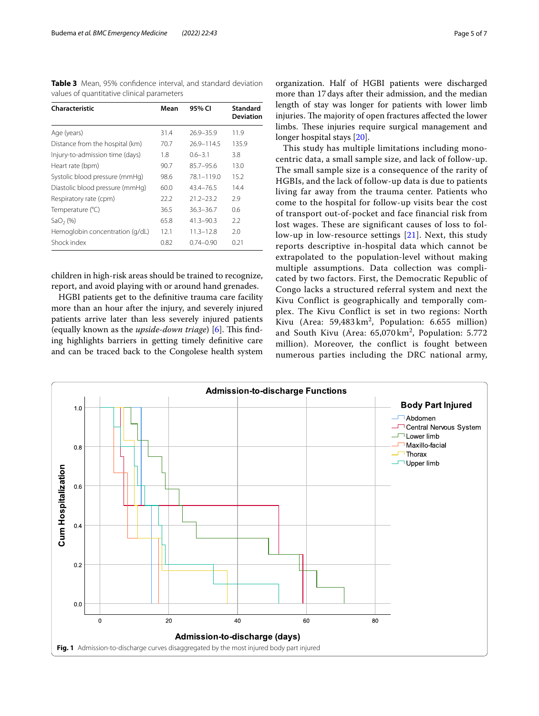<span id="page-4-0"></span>**Table 3** Mean, 95% confdence interval, and standard deviation values of quantitative clinical parameters

| Characteristic                  | Mean | 95% CI         | <b>Standard</b><br><b>Deviation</b> |
|---------------------------------|------|----------------|-------------------------------------|
| Age (years)                     | 31.4 | $26.9 - 35.9$  | 11.9                                |
| Distance from the hospital (km) | 70.7 | 26.9-114.5     | 135.9                               |
| Injury-to-admission time (days) | 1.8  | $0.6 - 3.1$    | 3.8                                 |
| Heart rate (bpm)                | 90.7 | $85.7 - 95.6$  | 13.0                                |
| Systolic blood pressure (mmHg)  | 98.6 | $78.1 - 119.0$ | 15.2                                |
| Diastolic blood pressure (mmHg) | 60.0 | 43.4-76.5      | 14.4                                |
| Respiratory rate (cpm)          | 22.2 | $21.2 - 23.2$  | 2.9                                 |
| Temperature (°C)                | 36.5 | $36.3 - 36.7$  | 0.6                                 |
| SaO <sub>2</sub> (%)            | 65.8 | $41.3 - 90.3$  | 2.2                                 |
| Hemoglobin concentration (g/dL) | 12.1 | $11.3 - 12.8$  | 2.0                                 |
| Shock index                     | 0.82 | $0.74 - 0.90$  | 0.21                                |

children in high-risk areas should be trained to recognize, report, and avoid playing with or around hand grenades.

HGBI patients get to the defnitive trauma care facility more than an hour after the injury, and severely injured patients arrive later than less severely injured patients (equally known as the *upside-down triage*) [\[6](#page-6-5)]. This finding highlights barriers in getting timely defnitive care and can be traced back to the Congolese health system

organization. Half of HGBI patients were discharged more than 17days after their admission, and the median length of stay was longer for patients with lower limb injuries. The majority of open fractures affected the lower limbs. These injuries require surgical management and longer hospital stays [\[20](#page-6-19)].

This study has multiple limitations including monocentric data, a small sample size, and lack of follow-up. The small sample size is a consequence of the rarity of HGBIs, and the lack of follow-up data is due to patients living far away from the trauma center. Patients who come to the hospital for follow-up visits bear the cost of transport out-of-pocket and face financial risk from lost wages. These are significant causes of loss to follow-up in low-resource settings [[21](#page-6-20)]. Next, this study reports descriptive in-hospital data which cannot be extrapolated to the population-level without making multiple assumptions. Data collection was complicated by two factors. First, the Democratic Republic of Congo lacks a structured referral system and next the Kivu Conflict is geographically and temporally complex. The Kivu Conflict is set in two regions: North Kivu (Area:  $59,483 \text{ km}^2$ , Population: 6.655 million) and South Kivu (Area:  $65,070 \text{ km}^2$ , Population: 5.772 million). Moreover, the conflict is fought between numerous parties including the DRC national army,

<span id="page-4-1"></span>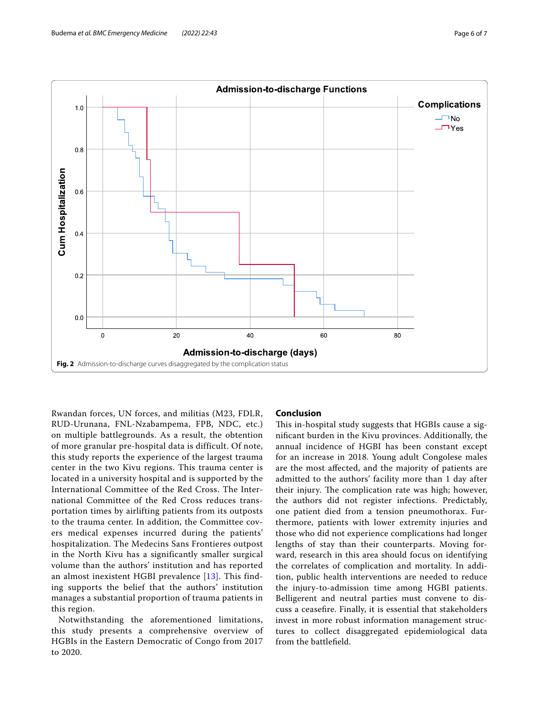

<span id="page-5-0"></span>Rwandan forces, UN forces, and militias (M23, FDLR, RUD-Urunana, FNL-Nzabampema, FPB, NDC, etc.) on multiple battlegrounds. As a result, the obtention of more granular pre-hospital data is difficult. Of note, this study reports the experience of the largest trauma center in the two Kivu regions. This trauma center is located in a university hospital and is supported by the International Committee of the Red Cross. The International Committee of the Red Cross reduces transportation times by airlifting patients from its outposts to the trauma center. In addition, the Committee covers medical expenses incurred during the patients' hospitalization. The Medecins Sans Frontieres outpost in the North Kivu has a significantly smaller surgical volume than the authors' institution and has reported an almost inexistent HGBI prevalence [[13](#page-6-12)]. This finding supports the belief that the authors' institution manages a substantial proportion of trauma patients in this region.

Notwithstanding the aforementioned limitations, this study presents a comprehensive overview of HGBIs in the Eastern Democratic of Congo from 2017 to 2020.

#### **Conclusion**

This in-hospital study suggests that HGBIs cause a signifcant burden in the Kivu provinces. Additionally, the annual incidence of HGBI has been constant except for an increase in 2018. Young adult Congolese males are the most afected, and the majority of patients are admitted to the authors' facility more than 1 day after their injury. The complication rate was high; however, the authors did not register infections. Predictably, one patient died from a tension pneumothorax. Furthermore, patients with lower extremity injuries and those who did not experience complications had longer lengths of stay than their counterparts. Moving forward, research in this area should focus on identifying the correlates of complication and mortality. In addition, public health interventions are needed to reduce the injury-to-admission time among HGBI patients. Belligerent and neutral parties must convene to discuss a ceasefre. Finally, it is essential that stakeholders invest in more robust information management structures to collect disaggregated epidemiological data from the battlefeld.